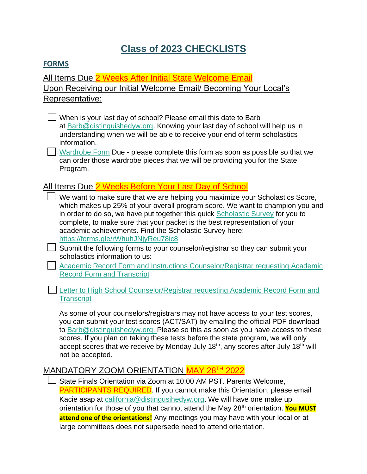# **Class of 2023 CHECKLISTS**

#### **FORMS**

All Items Due 2 Weeks After Initial State Welcome Email Upon Receiving our Initial Welcome Email/ Becoming Your Local's Representative:

**•** When is your last day of school? Please email this date to Barb at [Barb@distinguishedyw.org.](mailto:Barb@distinguishedyw.org) Knowing your last day of school will help us in understanding when we will be able to receive your end of term scholastics information.

**•** [Wardrobe Form](https://forms.gle/8VSRNwNvp5Cc3VVF8) Due - please complete this form as soon as possible so that we can order those wardrobe pieces that we will be providing you for the State Program.

## All Items Due 2 Weeks Before Your Last Day of School

- **•** We want to make sure that we are helping you maximize your Scholastics Score, which makes up 25% of your overall program score. We want to champion you and in order to do so, we have put together this quick [Scholastic Survey](https://docs.google.com/forms/d/e/1FAIpQLSfdKNj4nQG02sV12OR8ZCATJKtVfN0lxJudpGD25k7Zx_MPjA/viewform?usp=sf_link) for you to complete, to make sure that your packet is the best representation of your academic achievements. Find the Scholastic Survey here: <https://forms.gle/rWhuhJNjyReu78ic8>
- **•** Submit the following forms to your counselor/registrar so they can submit your scholastics information to us:

**•• Academic Record Form and Instructions Counselor/Registrar requesting Academic** [Record Form and Transcript](http://ca.distinguishedyw.org/wp-content/uploads/sites/5/2016/04/Academic-Form-Instructions-Class-of-2023-State.pdf)

**•** [Letter to High School Counselor/Registrar requesting Academic Record Form and](http://ca.distinguishedyw.org/wp-content/uploads/sites/5/2016/04/Letter-to-High-School-CounselorRegistrar-requesting-Academic-Record-Form-and-Transcript.pdf)  **[Transcript](http://ca.distinguishedyw.org/wp-content/uploads/sites/5/2016/04/Letter-to-High-School-CounselorRegistrar-requesting-Academic-Record-Form-and-Transcript.pdf)** 

As some of your counselors/registrars may not have access to your test scores, you can submit your test scores (ACT/SAT) by emailing the official PDF download to [Barb@distinguishedyw.org.](mailto:Barb@distinguishedyw.org) Please so this as soon as you have access to these scores. If you plan on taking these tests before the state program, we will only accept scores that we receive by Monday July 18th, any scores after July 18th will not be accepted.

### MANDATORY ZOOM ORIENTATION MAY 28<sup>TH</sup> 2022

**•** State Finals Orientation via Zoom at 10:00 AM PST. Parents Welcome, PARTICIPANTS REQUIRED. If you cannot make this Orientation, please email Kacie asap at [california@distingusihedyw.org.](mailto:california@distingusihedyw.org) We will have one make up orientation for those of you that cannot attend the May 28<sup>th</sup> orientation. **You MUST attend one of the orientations!** Any meetings you may have with your local or at large committees does not supersede need to attend orientation.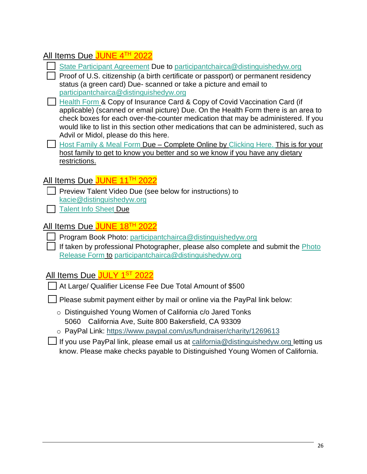## All Items Due JUNE 4TH 2022

**•** [State Participant Agreement](http://ca.distinguishedyw.org/wp-content/uploads/sites/5/2016/04/2023-State-Participant-Agreement_eSign_3.2022.pdf) Due to [participantchairca@distinguishedyw.org](mailto:participantchairca@distinguishedyw.org)

**•** Proof of U.S. citizenship (a birth certificate or passport) or permanent residency status (a green card) Due- scanned or take a picture and email to [participantchairca@distinguishedyw.org](mailto:participantchairca@distinguishedyw.org)

- **•• [Health Form](http://ca.distinguishedyw.org/wp-content/uploads/sites/5/2016/04/Health-Form_04.2021.pdf) & Copy of Insurance Card & Copy of Covid Vaccination Card (if** applicable) (scanned or email picture) Due. On the Health Form there is an area to check boxes for each over-the-counter medication that may be administered. If you would like to list in this section other medications that can be administered, such as Advil or Midol, please do this here.
- **•• [Host Family & Meal Form](https://docs.google.com/forms/d/e/1FAIpQLSevUxzlaLsy0EfH49p3LENBeQwCsZzY2TbQs7vyuppiNgH16A/viewform?usp=sf_link) Due Complete Online by [Clicking Here.](https://docs.google.com/forms/d/e/1FAIpQLSevUxzlaLsy0EfH49p3LENBeQwCsZzY2TbQs7vyuppiNgH16A/viewform?usp=sf_link) This is for your** host family to get to know you better and so we know if you have any dietary restrictions.

## All Items Due JUNE 11<sup>TH</sup> 2022

- **Preview Talent Video Due (see below for instructions) to** [kacie@distinguishedyw.org](mailto:kacie@distinguishedyw.org)
- **[Talent Info Sheet](https://docs.google.com/forms/d/e/1FAIpQLScPbDN5FDjekd2sGh-MhvLnSncbX2lfQdYtmRGfAo6mwbD4Wg/viewform?usp=sf_link) Due**

## All Items Due JUNE 18<sup>TH</sup> 2022

- **•** Program Book Photo: [participantchairca@distinguishedyw.org](mailto:participantchairca@distinguishedyw.org)
- **Fig. 15** If taken by professional Photographer, please also complete and submit the *Photo* [Release Form](http://ca.distinguishedyw.org/wp-content/uploads/sites/5/2016/04/Photo-Release-DYW-CA.pdf) to [participantchairca@distinguishedyw.org](mailto:participantchairca@distinguishedyw.org)

## All Items Due <mark>JULY 1<sup>st</sup> 2022</mark>

**•** At Large/ Qualifier License Fee Due Total Amount of \$500

**Figure 2** Please submit payment either by mail or online via the PayPal link below:

- o Distinguished Young Women of California c/o Jared Tonks 5060 California Ave, Suite 800 Bakersfield, CA 93309
- o PayPal Link:<https://www.paypal.com/us/fundraiser/charity/1269613>

**•** If you use PayPal link, please email us at [california@distinguishedyw.org](mailto:california@distinguishedyw.org) letting us know. Please make checks payable to Distinguished Young Women of California.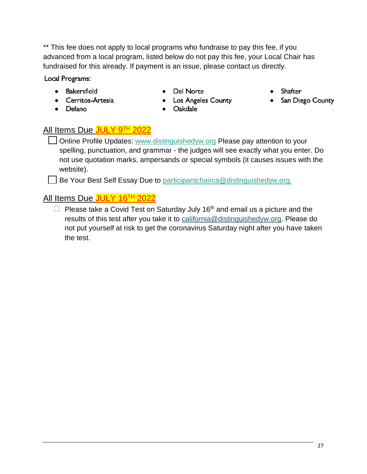\*\* This fee does not apply to local programs who fundraise to pay this fee, if you advanced from a local program, listed below do not pay this fee, your Local Chair has fundraised for this already. If payment is an issue, please contact us directly.

Local Programs:

- Bakersfield
- Cerritos-Artesia
- Delano

• Del Norte

• Los Angeles County

- Shafter
- San Diego County

• Oakdale

## All Items Due JULY 9TH 2022

**□** Online Profile Updates: [www.distinguishedyw.org](http://www.distinguishedyw.org/) Please pay attention to your spelling, punctuation, and grammar - the judges will see exactly what you enter. Do not use quotation marks, ampersands or special symbols (it causes issues with the website).

**EXTER:** Be Your Best Self Essay Due to [participantchairca@distinguishedyw.org.](mailto:participantchairca@distinguishedyw.org)

## All Items Due JULY 16<sup>TH</sup> 2022

• Please take a Covid Test on Saturday July 16<sup>th</sup> and email us a picture and the results of this test after you take it to [california@distinguishedyw.org.](mailto:california@distinguishedyw.org) Please do not put yourself at risk to get the coronavirus Saturday night after you have taken the test.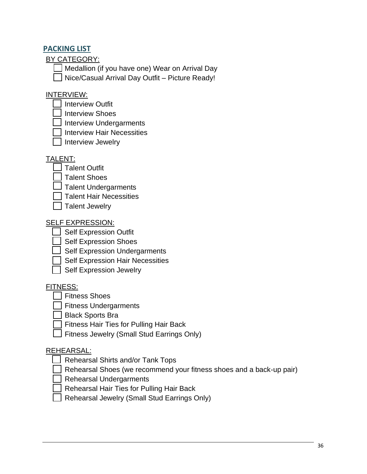### **PACKING LIST**

BY CATEGORY:

**•** Medallion (if you have one) Wear on Arrival Day

**•** Nice/Casual Arrival Day Outfit – Picture Ready!

### INTERVIEW:

- **•** Interview Outfit
- **•** Interview Shoes
- **•** Interview Undergarments
- **•** Interview Hair Necessities
- **•** Interview Jewelry

### TALENT:

- **•** Talent Outfit
- **•** Talent Shoes
- **•** Talent Undergarments
- **•** Talent Hair Necessities
- **•** Talent Jewelry

### SELF EXPRESSION:

- **•** Self Expression Outfit
- **Self Expression Shoes**
- **•** Self Expression Undergarments
- *i* Self Expression Hair Necessities
- **•** Self Expression Jewelry

### FITNESS:

- **Fitness Shoes**
- **•** Fitness Undergarments
- **•** Black Sports Bra
- **•** Fitness Hair Ties for Pulling Hair Back
- **•** Fitness Jewelry (Small Stud Earrings Only)

### REHEARSAL:

- **•** Rehearsal Shirts and/or Tank Tops
- **•** Rehearsal Shoes (we recommend your fitness shoes and a back-up pair)
- **••** Rehearsal Undergarments
- **Rehearsal Hair Ties for Pulling Hair Back**
- **•** Rehearsal Jewelry (Small Stud Earrings Only)